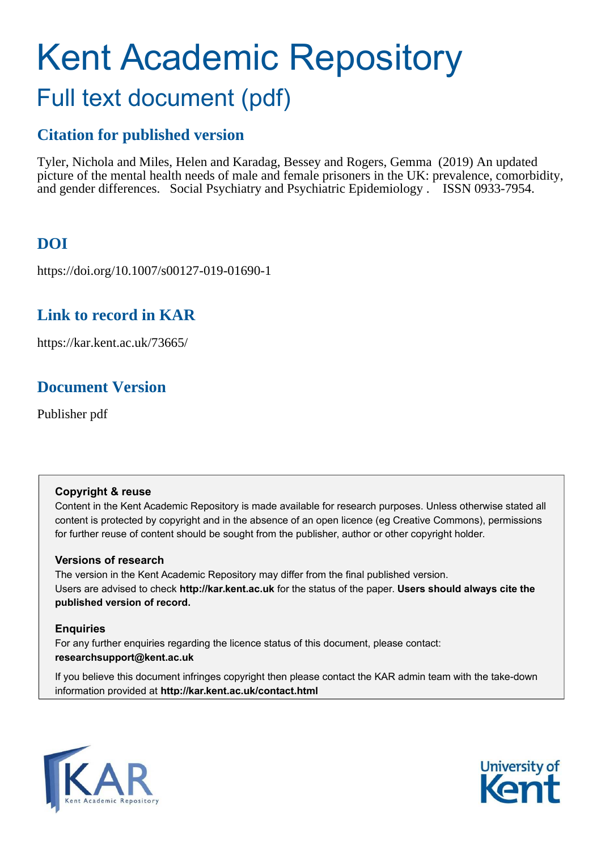# Kent Academic Repository Full text document (pdf)

# **Citation for published version**

Tyler, Nichola and Miles, Helen and Karadag, Bessey and Rogers, Gemma (2019) An updated picture of the mental health needs of male and female prisoners in the UK: prevalence, comorbidity, and gender differences. Social Psychiatry and Psychiatric Epidemiology . ISSN 0933-7954.

# **DOI**

https://doi.org/10.1007/s00127-019-01690-1

# **Link to record in KAR**

https://kar.kent.ac.uk/73665/

# **Document Version**

Publisher pdf

# **Copyright & reuse**

Content in the Kent Academic Repository is made available for research purposes. Unless otherwise stated all content is protected by copyright and in the absence of an open licence (eg Creative Commons), permissions for further reuse of content should be sought from the publisher, author or other copyright holder.

# **Versions of research**

The version in the Kent Academic Repository may differ from the final published version. Users are advised to check **http://kar.kent.ac.uk** for the status of the paper. **Users should always cite the published version of record.**

# **Enquiries**

For any further enquiries regarding the licence status of this document, please contact: **researchsupport@kent.ac.uk**

If you believe this document infringes copyright then please contact the KAR admin team with the take-down information provided at **http://kar.kent.ac.uk/contact.html**



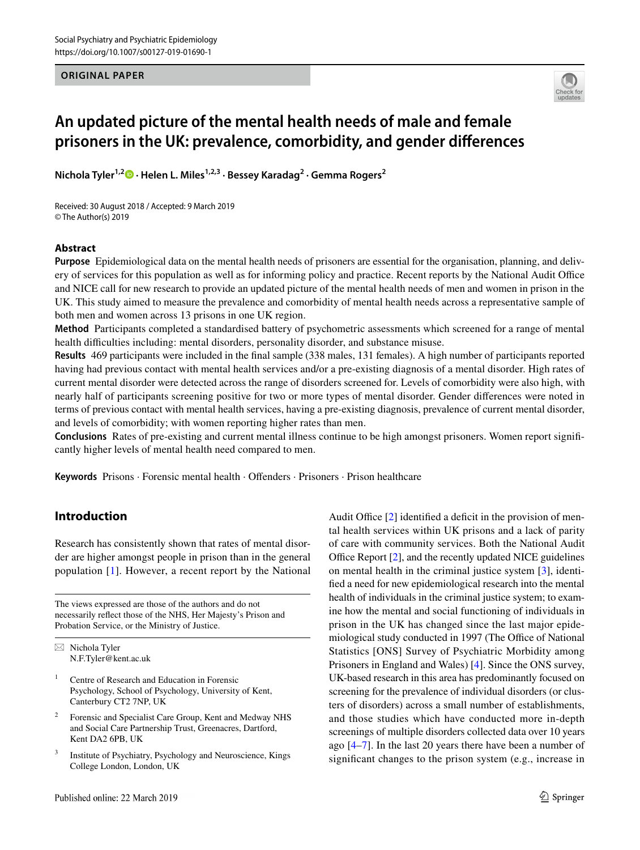## **ORIGINAL PAPER**



# **An updated picture of the mental health needs of male and female prisoners in the UK: prevalence, comorbidity, and gender diferences**

**Nichola Tyler1,2  [·](http://orcid.org/0000-0002-3717-1941) Helen L. Miles1,2,3 · Bessey Karadag<sup>2</sup> · Gemma Rogers<sup>2</sup>**

Received: 30 August 2018 / Accepted: 9 March 2019 © The Author(s) 2019

# **Abstract**

**Purpose** Epidemiological data on the mental health needs of prisoners are essential for the organisation, planning, and delivery of services for this population as well as for informing policy and practice. Recent reports by the National Audit Office and NICE call for new research to provide an updated picture of the mental health needs of men and women in prison in the UK. This study aimed to measure the prevalence and comorbidity of mental health needs across a representative sample of both men and women across 13 prisons in one UK region.

**Method** Participants completed a standardised battery of psychometric assessments which screened for a range of mental health difficulties including: mental disorders, personality disorder, and substance misuse.

**Results** 469 participants were included in the inal sample (338 males, 131 females). A high number of participants reported having had previous contact with mental health services and/or a pre-existing diagnosis of a mental disorder. High rates of current mental disorder were detected across the range of disorders screened for. Levels of comorbidity were also high, with nearly half of participants screening positive for two or more types of mental disorder. Gender diferences were noted in terms of previous contact with mental health services, having a pre-existing diagnosis, prevalence of current mental disorder, and levels of comorbidity; with women reporting higher rates than men.

**Conclusions** Rates of pre-existing and current mental illness continue to be high amongst prisoners. Women report signiicantly higher levels of mental health need compared to men.

**Keywords** Prisons · Forensic mental health · Ofenders · Prisoners · Prison healthcare

# **Introduction**

Research has consistently shown that rates of mental disorder are higher amongst people in prison than in the general population [\[1](#page-8-0)]. However, a recent report by the National

The views expressed are those of the authors and do not necessarily reflect those of the NHS, Her Majesty's Prison and Probation Service, or the Ministry of Justice.

 $\boxtimes$  Nichola Tyler N.F.Tyler@kent.ac.uk

- 1 Centre of Research and Education in Forensic Psychology, School of Psychology, University of Kent, Canterbury CT2 7NP, UK
- 2 Forensic and Specialist Care Group, Kent and Medway NHS and Social Care Partnership Trust, Greenacres, Dartford, Kent DA2 6PB, UK
- 3 Institute of Psychiatry, Psychology and Neuroscience, Kings College London, London, UK

<span id="page-1-0"></span>Audit Office  $[2]$  $[2]$  identified a deficit in the provision of mental health services within UK prisons and a lack of parity of care with community services. Both the National Audit Office Report  $[2]$  $[2]$ , and the recently updated NICE guidelines on mental health in the criminal justice system [[3\]](#page-8-2), identified a need for new epidemiological research into the mental health of individuals in the criminal justice system; to examine how the mental and social functioning of individuals in prison in the UK has changed since the last major epidemiological study conducted in 1997 (The Office of National Statistics [ONS] Survey of Psychiatric Morbidity among Prisoners in England and Wales) [\[4](#page-8-3)]. Since the ONS survey, UK-based research in this area has predominantly focused on screening for the prevalence of individual disorders (or clusters of disorders) across a small number of establishments, and those studies which have conducted more in-depth screenings of multiple disorders collected data over 10 years ago [[4–](#page-8-3)[7\]](#page-9-0). In the last 20 years there have been a number of significant changes to the prison system (e.g., increase in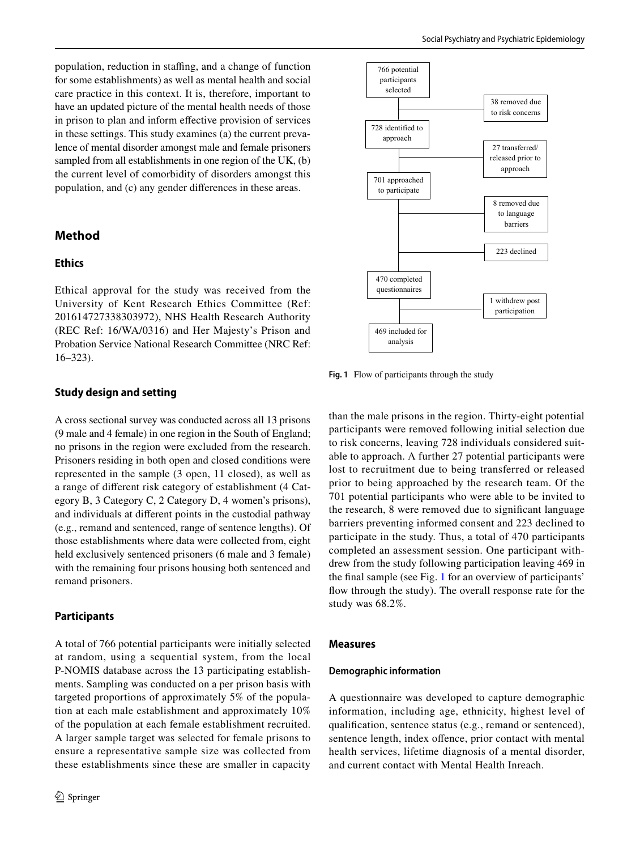population, reduction in staffing, and a change of function for some establishments) as well as mental health and social care practice in this context. It is, therefore, important to have an updated picture of the mental health needs of those in prison to plan and inform efective provision of services in these settings. This study examines (a) the current prevalence of mental disorder amongst male and female prisoners sampled from all establishments in one region of the UK, (b) the current level of comorbidity of disorders amongst this population, and (c) any gender diferences in these areas.

# **Method**

# **Ethics**

Ethical approval for the study was received from the University of Kent Research Ethics Committee (Ref: 201614727338303972), NHS Health Research Authority (REC Ref: 16/WA/0316) and Her Majesty's Prison and Probation Service National Research Committee (NRC Ref: 16–323).

#### **Study design and setting**

A cross sectional survey was conducted across all 13 prisons (9 male and 4 female) in one region in the South of England; no prisons in the region were excluded from the research. Prisoners residing in both open and closed conditions were represented in the sample (3 open, 11 closed), as well as a range of diferent risk category of establishment (4 Category B, 3 Category C, 2 Category D, 4 women's prisons), and individuals at diferent points in the custodial pathway (e.g., remand and sentenced, range of sentence lengths). Of those establishments where data were collected from, eight held exclusively sentenced prisoners (6 male and 3 female) with the remaining four prisons housing both sentenced and remand prisoners.

### **Participants**

<span id="page-2-1"></span><span id="page-2-0"></span>A total of 766 potential participants were initially selected at random, using a sequential system, from the local P-NOMIS database across the 13 participating establishments. Sampling was conducted on a per prison basis with targeted proportions of approximately 5% of the population at each male establishment and approximately 10% of the population at each female establishment recruited. A larger sample target was selected for female prisons to ensure a representative sample size was collected from these establishments since these are smaller in capacity



**Fig. 1** Flow of participants through the study

than the male prisons in the region. Thirty-eight potential participants were removed following initial selection due to risk concerns, leaving 728 individuals considered suitable to approach. A further 27 potential participants were lost to recruitment due to being transferred or released prior to being approached by the research team. Of the 701 potential participants who were able to be invited to the research, 8 were removed due to significant language barriers preventing informed consent and 223 declined to participate in the study. Thus, a total of 470 participants completed an assessment session. One participant withdrew from the study following participation leaving 469 in the final sample (see Fig. [1](#page-1-0) for an overview of participants' flow through the study). The overall response rate for the study was 68.2%.

#### **Measures**

#### **Demographic information**

<span id="page-2-3"></span><span id="page-2-2"></span>A questionnaire was developed to capture demographic information, including age, ethnicity, highest level of qualification, sentence status (e.g., remand or sentenced), sentence length, index offence, prior contact with mental health services, lifetime diagnosis of a mental disorder, and current contact with Mental Health Inreach.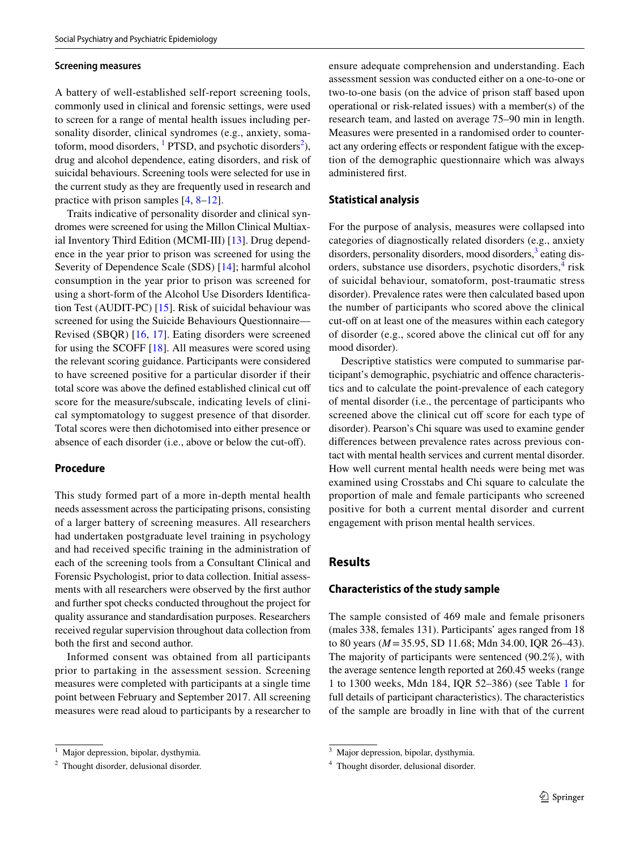#### <span id="page-3-0"></span>**Screening measures**

A battery of well-established self-report screening tools, commonly used in clinical and forensic settings, were used to screen for a range of mental health issues including personality disorder, clinical syndromes (e.g., anxiety, somatoform, mood disorders,  $\frac{1}{1}$  $\frac{1}{1}$  $\frac{1}{1}$  PTSD, and psychotic disorders<sup>[2](#page-2-1)</sup>), drug and alcohol dependence, eating disorders, and risk of suicidal behaviours. Screening tools were selected for use in the current study as they are frequently used in research and practice with prison samples [\[4](#page-8-3), [8](#page-9-1)[–12](#page-9-2)].

Traits indicative of personality disorder and clinical syndromes were screened for using the Millon Clinical Multiaxial Inventory Third Edition (MCMI-III) [\[13](#page-9-3)]. Drug dependence in the year prior to prison was screened for using the Severity of Dependence Scale (SDS) [[14](#page-9-4)]; harmful alcohol consumption in the year prior to prison was screened for using a short-form of the Alcohol Use Disorders Identification Test (AUDIT-PC) [\[15](#page-9-5)]. Risk of suicidal behaviour was screened for using the Suicide Behaviours Questionnaire— Revised (SBQR) [\[16](#page-9-6), [17](#page-9-7)]. Eating disorders were screened for using the SCOFF [[18\]](#page-9-8). All measures were scored using the relevant scoring guidance. Participants were considered to have screened positive for a particular disorder if their total score was above the defined established clinical cut off score for the measure/subscale, indicating levels of clinical symptomatology to suggest presence of that disorder. Total scores were then dichotomised into either presence or absence of each disorder (i.e., above or below the cut-of).

# **Procedure**

This study formed part of a more in-depth mental health needs assessment across the participating prisons, consisting of a larger battery of screening measures. All researchers had undertaken postgraduate level training in psychology and had received specific training in the administration of each of the screening tools from a Consultant Clinical and Forensic Psychologist, prior to data collection. Initial assessments with all researchers were observed by the first author and further spot checks conducted throughout the project for quality assurance and standardisation purposes. Researchers received regular supervision throughout data collection from both the first and second author.

Informed consent was obtained from all participants prior to partaking in the assessment session. Screening measures were completed with participants at a single time point between February and September 2017. All screening measures were read aloud to participants by a researcher to

ensure adequate comprehension and understanding. Each assessment session was conducted either on a one-to-one or two-to-one basis (on the advice of prison staff based upon operational or risk-related issues) with a member(s) of the research team, and lasted on average 75–90 min in length. Measures were presented in a randomised order to counteract any ordering efects or respondent fatigue with the exception of the demographic questionnaire which was always administered first.

### **Statistical analysis**

For the purpose of analysis, measures were collapsed into categories of diagnostically related disorders (e.g., anxiety disorders, personality disorders, mood disorders,<sup>[3](#page-2-2)</sup> eating dis-orders, substance use disorders, psychotic disorders,<sup>[4](#page-2-3)</sup> risk of suicidal behaviour, somatoform, post-traumatic stress disorder). Prevalence rates were then calculated based upon the number of participants who scored above the clinical cut-off on at least one of the measures within each category of disorder (e.g., scored above the clinical cut off for any mood disorder).

Descriptive statistics were computed to summarise participant's demographic, psychiatric and ofence characteristics and to calculate the point-prevalence of each category of mental disorder (i.e., the percentage of participants who screened above the clinical cut off score for each type of disorder). Pearson's Chi square was used to examine gender diferences between prevalence rates across previous contact with mental health services and current mental disorder. How well current mental health needs were being met was examined using Crosstabs and Chi square to calculate the proportion of male and female participants who screened positive for both a current mental disorder and current engagement with prison mental health services.

# **Results**

### **Characteristics of the study sample**

The sample consisted of 469 male and female prisoners (males 338, females 131). Participants' ages ranged from 18 to 80 years (*M* = 35.95, SD 11.68; Mdn 34.00, IQR 26–43). The majority of participants were sentenced (90.2%), with the average sentence length reported at 260.45 weeks (range 1 to 1300 weeks, Mdn 184, IQR 52–386) (see Table [1](#page-3-0) for full details of participant characteristics). The characteristics of the sample are broadly in line with that of the current

<sup>&</sup>lt;sup>1</sup> Major depression, bipolar, dysthymia.

<sup>&</sup>lt;sup>2</sup> Thought disorder, delusional disorder.

<sup>&</sup>lt;sup>3</sup> Major depression, bipolar, dysthymia.

<sup>4</sup> Thought disorder, delusional disorder.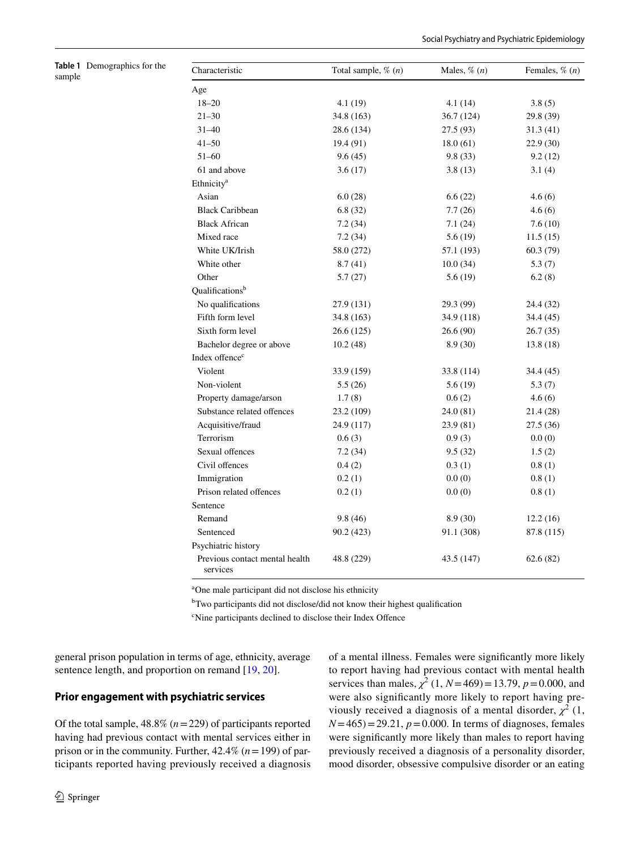<span id="page-4-1"></span><span id="page-4-0"></span>

|        | <b>Table 1</b> Demographics for the |
|--------|-------------------------------------|
| sample |                                     |

| Characteristic                             | Total sample, $\%$ $(n)$ | Males, $\%$ $(n)$ | Females, $\%$ $(n)$ |
|--------------------------------------------|--------------------------|-------------------|---------------------|
| Age                                        |                          |                   |                     |
| $18 - 20$                                  | 4.1 (19)                 | 4.1 (14)          | 3.8(5)              |
| $21 - 30$                                  | 34.8 (163)               | 36.7 (124)        | 29.8 (39)           |
| $31 - 40$                                  | 28.6 (134)               | 27.5 (93)         | 31.3 (41)           |
| $41 - 50$                                  | 19.4 (91)                | 18.0(61)          | 22.9 (30)           |
| $51 - 60$                                  | 9.6(45)                  | 9.8(33)           | 9.2(12)             |
| 61 and above                               | 3.6(17)                  | 3.8(13)           | 3.1(4)              |
| Ethnicity <sup>a</sup>                     |                          |                   |                     |
| Asian                                      | 6.0(28)                  | 6.6(22)           | 4.6(6)              |
| <b>Black Caribbean</b>                     | 6.8(32)                  | 7.7(26)           | 4.6(6)              |
| <b>Black African</b>                       | 7.2(34)                  | 7.1(24)           | 7.6(10)             |
| Mixed race                                 | 7.2(34)                  | 5.6(19)           | 11.5(15)            |
| White UK/Irish                             | 58.0 (272)               | 57.1 (193)        | 60.3(79)            |
| White other                                | 8.7(41)                  | 10.0(34)          | 5.3(7)              |
| Other                                      | 5.7(27)                  | 5.6(19)           | 6.2(8)              |
| Qualifications <sup>b</sup>                |                          |                   |                     |
| No qualifications                          | 27.9 (131)               | 29.3 (99)         | 24.4 (32)           |
| Fifth form level                           | 34.8 (163)               | 34.9 (118)        | 34.4 (45)           |
| Sixth form level                           | 26.6 (125)               | 26.6(90)          | 26.7(35)            |
| Bachelor degree or above                   | 10.2(48)                 | 8.9(30)           | 13.8 (18)           |
| Index offence <sup>c</sup>                 |                          |                   |                     |
| Violent                                    | 33.9 (159)               | 33.8 (114)        | 34.4 (45)           |
| Non-violent                                | 5.5(26)                  | 5.6 (19)          | 5.3(7)              |
| Property damage/arson                      | 1.7(8)                   | 0.6(2)            | 4.6(6)              |
| Substance related offences                 | 23.2 (109)               | 24.0 (81)         | 21.4 (28)           |
| Acquisitive/fraud                          | 24.9 (117)               | 23.9 (81)         | 27.5 (36)           |
| Terrorism                                  | 0.6(3)                   | 0.9(3)            | 0.0(0)              |
| Sexual offences                            | 7.2(34)                  | 9.5(32)           | 1.5(2)              |
| Civil offences                             | 0.4(2)                   | 0.3(1)            | 0.8(1)              |
| Immigration                                | 0.2(1)                   | 0.0(0)            | 0.8(1)              |
| Prison related offences                    | 0.2(1)                   | 0.0(0)            | 0.8(1)              |
| Sentence                                   |                          |                   |                     |
| Remand                                     | 9.8(46)                  | 8.9(30)           | 12.2(16)            |
| Sentenced                                  | 90.2 (423)               | 91.1 (308)        | 87.8 (115)          |
| Psychiatric history                        |                          |                   |                     |
| Previous contact mental health<br>services | 48.8 (229)               | 43.5 (147)        | 62.6(82)            |

<sup>a</sup>One male participant did not disclose his ethnicity

<sup>b</sup>Two participants did not disclose/did not know their highest qualification

<sup>c</sup>Nine participants declined to disclose their Index Offence

general prison population in terms of age, ethnicity, average sentence length, and proportion on remand [[19,](#page-9-9) [20\]](#page-9-10).

## **Prior engagement with psychiatric services**

Of the total sample,  $48.8\%$  ( $n = 229$ ) of participants reported having had previous contact with mental services either in prison or in the community. Further, 42.4% (*n* = 199) of participants reported having previously received a diagnosis

<sup>2</sup> Springer

of a mental illness. Females were significantly more likely to report having had previous contact with mental health services than males,  $\chi^2$  (1, *N* = 469) = 13.79, *p* = 0.000, and were also significantly more likely to report having previously received a diagnosis of a mental disorder,  $\chi^2$  (1,  $N = 465$ ) = 29.21,  $p = 0.000$ . In terms of diagnoses, females were significantly more likely than males to report having previously received a diagnosis of a personality disorder, mood disorder, obsessive compulsive disorder or an eating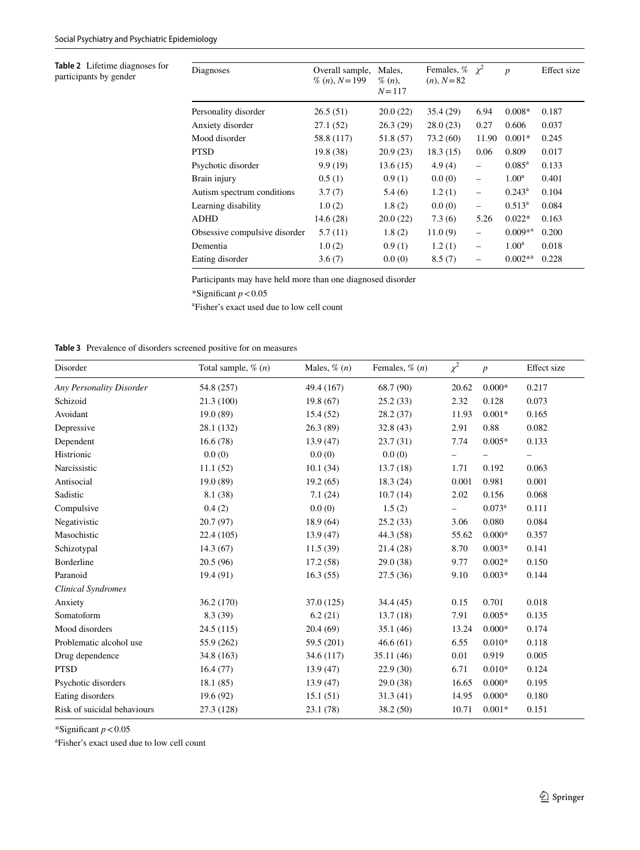<span id="page-5-0"></span>**Table 2** Lifetime diagnoses for participants by gender

| Overall sample,<br>$\%$ ( <i>n</i> ), $N = 199$ | Males,<br>$\%$ $(n)$ ,<br>$N = 117$ | $(n)$ , $N = 82$ |                          | $\boldsymbol{p}$    | Effect size |
|-------------------------------------------------|-------------------------------------|------------------|--------------------------|---------------------|-------------|
| 26.5(51)                                        | 20.0(22)                            | 35.4(29)         | 6.94                     | $0.008*$            | 0.187       |
| 27.1(52)                                        | 26.3(29)                            | 28.0(23)         | 0.27                     | 0.606               | 0.037       |
| 58.8 (117)                                      | 51.8 (57)                           | 73.2(60)         | 11.90                    | $0.001*$            | 0.245       |
| 19.8(38)                                        | 20.9(23)                            | 18.3(15)         | 0.06                     | 0.809               | 0.017       |
| 9.9(19)                                         | 13.6(15)                            | 4.9(4)           | $\overline{\phantom{0}}$ | $0.085^{\rm a}$     | 0.133       |
| 0.5(1)                                          | 0.9(1)                              | 0.0(0)           | $\overline{\phantom{0}}$ | $1.00^{\rm a}$      | 0.401       |
| 3.7(7)                                          | 5.4(6)                              | 1.2(1)           | $\overline{\phantom{0}}$ | $0.243^{\rm a}$     | 0.104       |
| 1.0(2)                                          | 1.8(2)                              | 0.0(0)           | $\overline{\phantom{0}}$ | $0.513^{\rm a}$     | 0.084       |
| 14.6(28)                                        | 20.0(22)                            | 7.3(6)           | 5.26                     | $0.022*$            | 0.163       |
| 5.7(11)                                         | 1.8(2)                              | 11.0(9)          | $\overline{\phantom{0}}$ | $0.009^{*a}$        | 0.200       |
| 1.0(2)                                          | 0.9(1)                              | 1.2(1)           | $\overline{\phantom{0}}$ | $1.00^{\rm a}$      | 0.018       |
| 3.6(7)                                          | 0.0(0)                              | 8.5(7)           |                          | $0.002^{*a}$        | 0.228       |
|                                                 |                                     |                  |                          | Females, % $\chi^2$ |             |

Participants may have held more than one diagnosed disorder

\*Signiicant *p* < 0.05

a Fisher's exact used due to low cell count

**Table 3** Prevalence of disorders screened positive for on measures

 $\overline{a}$ 

| Disorder                    | Total sample, $\%$ $(n)$ | Males, $\%$ $(n)$ | Females, $\%$ $(n)$ | $\chi^2$                 | $\boldsymbol{p}$ | Effect size |
|-----------------------------|--------------------------|-------------------|---------------------|--------------------------|------------------|-------------|
| Any Personality Disorder    | 54.8 (257)               | 49.4 (167)        | 68.7 (90)           | 20.62                    | $0.000*$         | 0.217       |
| Schizoid                    | 21.3(100)                | 19.8(67)          | 25.2(33)            | 2.32                     | 0.128            | 0.073       |
| Avoidant                    | 19.0(89)                 | 15.4(52)          | 28.2(37)            | 11.93                    | $0.001*$         | 0.165       |
| Depressive                  | 28.1 (132)               | 26.3(89)          | 32.8(43)            | 2.91                     | 0.88             | 0.082       |
| Dependent                   | 16.6(78)                 | 13.9(47)          | 23.7(31)            | 7.74                     | $0.005*$         | 0.133       |
| Histrionic                  | 0.0(0)                   | 0.0(0)            | 0.0(0)              | $\overline{\phantom{0}}$ |                  |             |
| Narcissistic                | 11.1(52)                 | 10.1(34)          | 13.7(18)            | 1.71                     | 0.192            | 0.063       |
| Antisocial                  | 19.0 (89)                | 19.2(65)          | 18.3(24)            | 0.001                    | 0.981            | 0.001       |
| Sadistic                    | 8.1 (38)                 | 7.1(24)           | 10.7(14)            | 2.02                     | 0.156            | 0.068       |
| Compulsive                  | 0.4(2)                   | 0.0(0)            | 1.5(2)              | $\overline{\phantom{0}}$ | $0.073^a$        | 0.111       |
| Negativistic                | 20.7(97)                 | 18.9(64)          | 25.2(33)            | 3.06                     | 0.080            | 0.084       |
| Masochistic                 | 22.4(105)                | 13.9(47)          | 44.3 (58)           | 55.62                    | $0.000*$         | 0.357       |
| Schizotypal                 | 14.3(67)                 | 11.5(39)          | 21.4 (28)           | 8.70                     | $0.003*$         | 0.141       |
| Borderline                  | 20.5(96)                 | 17.2(58)          | 29.0 (38)           | 9.77                     | $0.002*$         | 0.150       |
| Paranoid                    | 19.4 (91)                | 16.3(55)          | 27.5 (36)           | 9.10                     | $0.003*$         | 0.144       |
| <b>Clinical Syndromes</b>   |                          |                   |                     |                          |                  |             |
| Anxiety                     | 36.2 (170)               | 37.0 (125)        | 34.4 (45)           | 0.15                     | 0.701            | 0.018       |
| Somatoform                  | 8.3(39)                  | 6.2(21)           | 13.7(18)            | 7.91                     | $0.005*$         | 0.135       |
| Mood disorders              | 24.5(115)                | 20.4(69)          | 35.1(46)            | 13.24                    | $0.000*$         | 0.174       |
| Problematic alcohol use     | 55.9 (262)               | 59.5 (201)        | 46.6(61)            | 6.55                     | $0.010*$         | 0.118       |
| Drug dependence             | 34.8 (163)               | 34.6 (117)        | 35.11(46)           | 0.01                     | 0.919            | 0.005       |
| <b>PTSD</b>                 | 16.4(77)                 | 13.9(47)          | 22.9(30)            | 6.71                     | $0.010*$         | 0.124       |
| Psychotic disorders         | 18.1(85)                 | 13.9(47)          | 29.0 (38)           | 16.65                    | $0.000*$         | 0.195       |
| Eating disorders            | 19.6(92)                 | 15.1(51)          | 31.3(41)            | 14.95                    | $0.000*$         | 0.180       |
| Risk of suicidal behaviours | 27.3 (128)               | 23.1(78)          | 38.2 (50)           | 10.71                    | $0.001*$         | 0.151       |

\*Signiicant *p* < 0.05

a Fisher's exact used due to low cell count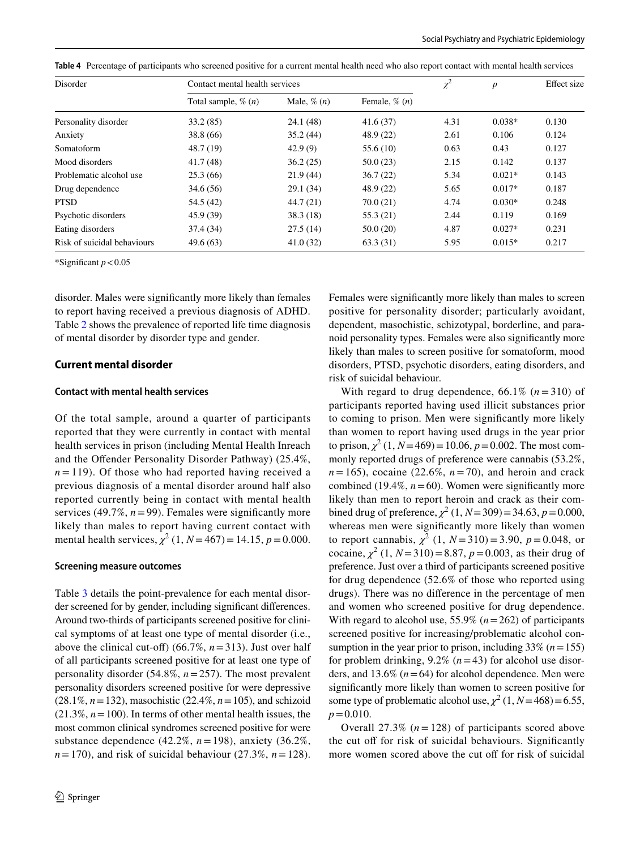|  |  |  |  |  | Table 4 Percentage of participants who screened positive for a current mental health need who also report contact with mental health services |
|--|--|--|--|--|-----------------------------------------------------------------------------------------------------------------------------------------------|
|--|--|--|--|--|-----------------------------------------------------------------------------------------------------------------------------------------------|

| Disorder                    | Contact mental health services |                  |                    | $\chi^2$ | p        | Effect size |
|-----------------------------|--------------------------------|------------------|--------------------|----------|----------|-------------|
|                             | Total sample, $\%$ $(n)$       | Male, $\%$ $(n)$ | Female, $\%$ $(n)$ |          |          |             |
| Personality disorder        | 33.2(85)                       | 24.1(48)         | 41.6(37)           | 4.31     | $0.038*$ | 0.130       |
| Anxiety                     | 38.8(66)                       | 35.2(44)         | 48.9(22)           | 2.61     | 0.106    | 0.124       |
| Somatoform                  | 48.7 (19)                      | 42.9(9)          | 55.6(10)           | 0.63     | 0.43     | 0.127       |
| Mood disorders              | 41.7(48)                       | 36.2(25)         | 50.0(23)           | 2.15     | 0.142    | 0.137       |
| Problematic alcohol use     | 25.3(66)                       | 21.9(44)         | 36.7(22)           | 5.34     | $0.021*$ | 0.143       |
| Drug dependence             | 34.6(56)                       | 29.1(34)         | 48.9 (22)          | 5.65     | $0.017*$ | 0.187       |
| <b>PTSD</b>                 | 54.5 (42)                      | 44.7(21)         | 70.0(21)           | 4.74     | $0.030*$ | 0.248       |
| Psychotic disorders         | 45.9(39)                       | 38.3(18)         | 55.3(21)           | 2.44     | 0.119    | 0.169       |
| Eating disorders            | 37.4 (34)                      | 27.5(14)         | 50.0(20)           | 4.87     | $0.027*$ | 0.231       |
| Risk of suicidal behaviours | 49.6(63)                       | 41.0(32)         | 63.3(31)           | 5.95     | $0.015*$ | 0.217       |

\*Significant  $p < 0.05$ 

disorder. Males were significantly more likely than females to report having received a previous diagnosis of ADHD. Table [2](#page-4-0) shows the prevalence of reported life time diagnosis of mental disorder by disorder type and gender.

#### **Current mental disorder**

### **Contact with mental health services**

Of the total sample, around a quarter of participants reported that they were currently in contact with mental health services in prison (including Mental Health Inreach and the Ofender Personality Disorder Pathway) (25.4%,  $n = 119$ ). Of those who had reported having received a previous diagnosis of a mental disorder around half also reported currently being in contact with mental health services (49.7%,  $n = 99$ ). Females were significantly more likely than males to report having current contact with mental health services,  $\chi^2$  (1, *N* = 467) = 14.15, *p* = 0.000.

#### **Screening measure outcomes**

Table [3](#page-4-1) details the point-prevalence for each mental disorder screened for by gender, including significant differences. Around two-thirds of participants screened positive for clinical symptoms of at least one type of mental disorder (i.e., above the clinical cut-off) (66.7%,  $n = 313$ ). Just over half of all participants screened positive for at least one type of personality disorder (54.8%, *n* = 257). The most prevalent personality disorders screened positive for were depressive (28.1%, *n* = 132), masochistic (22.4%, *n* = 105), and schizoid  $(21.3\%, n=100)$ . In terms of other mental health issues, the most common clinical syndromes screened positive for were substance dependence (42.2%, *n* = 198), anxiety (36.2%,  $n = 170$ , and risk of suicidal behaviour (27.3%,  $n = 128$ ). Females were significantly more likely than males to screen positive for personality disorder; particularly avoidant, dependent, masochistic, schizotypal, borderline, and paranoid personality types. Females were also significantly more likely than males to screen positive for somatoform, mood disorders, PTSD, psychotic disorders, eating disorders, and risk of suicidal behaviour.

With regard to drug dependence,  $66.1\%$   $(n=310)$  of participants reported having used illicit substances prior to coming to prison. Men were significantly more likely than women to report having used drugs in the year prior to prison,  $\chi^2$  (1,  $N = 469$ ) = 10.06,  $p = 0.002$ . The most commonly reported drugs of preference were cannabis (53.2%,  $n = 165$ , cocaine (22.6%,  $n = 70$ ), and heroin and crack combined (19.4%,  $n = 60$ ). Women were significantly more likely than men to report heroin and crack as their combined drug of preference,  $\chi^2$  (1, *N* = 309) = 34.63, *p* = 0.000, whereas men were significantly more likely than women to report cannabis,  $\chi^2$  (1,  $N = 310$ ) = 3.90,  $p = 0.048$ , or cocaine,  $\chi^2$  (1,  $N = 310$ ) = 8.87,  $p = 0.003$ , as their drug of preference. Just over a third of participants screened positive for drug dependence (52.6% of those who reported using drugs). There was no diference in the percentage of men and women who screened positive for drug dependence. With regard to alcohol use,  $55.9\%$  ( $n = 262$ ) of participants screened positive for increasing/problematic alcohol consumption in the year prior to prison, including  $33\%$  ( $n = 155$ ) for problem drinking,  $9.2\%$  ( $n = 43$ ) for alcohol use disorders, and  $13.6\%$  ( $n = 64$ ) for alcohol dependence. Men were significantly more likely than women to screen positive for some type of problematic alcohol use,  $\chi^2$  (1, *N* = 468) = 6.55,  $p = 0.010$ .

Overall  $27.3\%$  ( $n = 128$ ) of participants scored above the cut off for risk of suicidal behaviours. Significantly more women scored above the cut off for risk of suicidal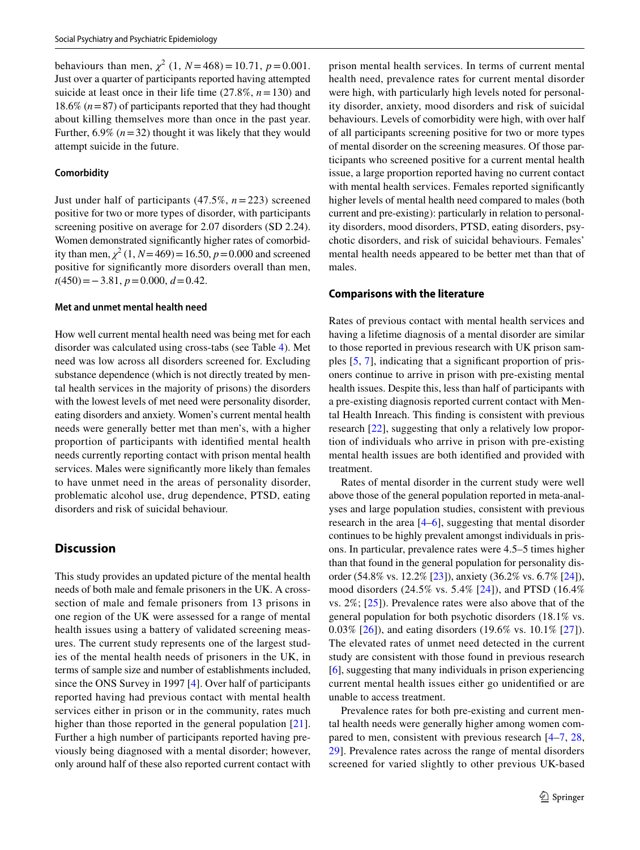behaviours than men,  $\chi^2$  (1,  $N = 468$ ) = 10.71,  $p = 0.001$ . Just over a quarter of participants reported having attempted suicide at least once in their life time  $(27.8\%, n=130)$  and 18.6%  $(n=87)$  of participants reported that they had thought about killing themselves more than once in the past year. Further,  $6.9\%$  ( $n = 32$ ) thought it was likely that they would attempt suicide in the future.

#### **Comorbidity**

Just under half of participants (47.5%, *n* = 223) screened positive for two or more types of disorder, with participants screening positive on average for 2.07 disorders (SD 2.24). Women demonstrated significantly higher rates of comorbidity than men,  $\chi^2$  (1, *N* = 469) = 16.50, *p* = 0.000 and screened positive for significantly more disorders overall than men, *t*(450) = − 3.81, *p* = 0.000, *d* = 0.42.

#### **Met and unmet mental health need**

How well current mental health need was being met for each disorder was calculated using cross-tabs (see Table [4\)](#page-5-0). Met need was low across all disorders screened for. Excluding substance dependence (which is not directly treated by mental health services in the majority of prisons) the disorders with the lowest levels of met need were personality disorder, eating disorders and anxiety. Women's current mental health needs were generally better met than men's, with a higher proportion of participants with identified mental health needs currently reporting contact with prison mental health services. Males were significantly more likely than females to have unmet need in the areas of personality disorder, problematic alcohol use, drug dependence, PTSD, eating disorders and risk of suicidal behaviour.

# **Discussion**

This study provides an updated picture of the mental health needs of both male and female prisoners in the UK. A crosssection of male and female prisoners from 13 prisons in one region of the UK were assessed for a range of mental health issues using a battery of validated screening measures. The current study represents one of the largest studies of the mental health needs of prisoners in the UK, in terms of sample size and number of establishments included, since the ONS Survey in 1997 [[4\]](#page-8-3). Over half of participants reported having had previous contact with mental health services either in prison or in the community, rates much higher than those reported in the general population [[21](#page-9-11)]. Further a high number of participants reported having previously being diagnosed with a mental disorder; however, only around half of these also reported current contact with prison mental health services. In terms of current mental health need, prevalence rates for current mental disorder were high, with particularly high levels noted for personality disorder, anxiety, mood disorders and risk of suicidal behaviours. Levels of comorbidity were high, with over half of all participants screening positive for two or more types of mental disorder on the screening measures. Of those participants who screened positive for a current mental health issue, a large proportion reported having no current contact with mental health services. Females reported significantly higher levels of mental health need compared to males (both current and pre-existing): particularly in relation to personality disorders, mood disorders, PTSD, eating disorders, psychotic disorders, and risk of suicidal behaviours. Females' mental health needs appeared to be better met than that of males.

#### **Comparisons with the literature**

Rates of previous contact with mental health services and having a lifetime diagnosis of a mental disorder are similar to those reported in previous research with UK prison samples  $[5, 7]$  $[5, 7]$  $[5, 7]$  $[5, 7]$ , indicating that a significant proportion of prisoners continue to arrive in prison with pre-existing mental health issues. Despite this, less than half of participants with a pre-existing diagnosis reported current contact with Mental Health Inreach. This finding is consistent with previous research [[22\]](#page-9-12), suggesting that only a relatively low proportion of individuals who arrive in prison with pre-existing mental health issues are both identified and provided with treatment.

Rates of mental disorder in the current study were well above those of the general population reported in meta-analyses and large population studies, consistent with previous research in the area [[4](#page-8-3)[–6](#page-8-5)], suggesting that mental disorder continues to be highly prevalent amongst individuals in prisons. In particular, prevalence rates were 4.5–5 times higher than that found in the general population for personality disorder (54.8% vs. 12.2% [\[23](#page-9-13)]), anxiety (36.2% vs. 6.7% [\[24](#page-9-14)]), mood disorders (24.5% vs. 5.4% [[24](#page-9-14)]), and PTSD (16.4% vs. 2%; [\[25](#page-9-15)]). Prevalence rates were also above that of the general population for both psychotic disorders (18.1% vs. 0.03% [[26](#page-9-16)]), and eating disorders (19.6% vs. 10.1% [[27\]](#page-9-17)). The elevated rates of unmet need detected in the current study are consistent with those found in previous research [\[6](#page-8-5)], suggesting that many individuals in prison experiencing current mental health issues either go unidentified or are unable to access treatment.

Prevalence rates for both pre-existing and current mental health needs were generally higher among women compared to men, consistent with previous research [[4–](#page-8-3)[7,](#page-9-0) [28,](#page-9-18) [29](#page-9-19)]. Prevalence rates across the range of mental disorders screened for varied slightly to other previous UK-based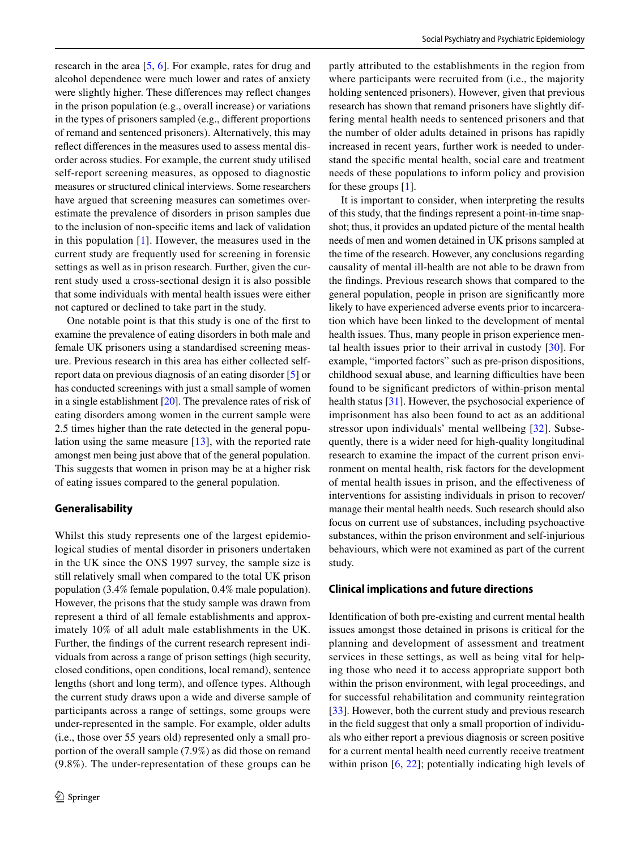research in the area [\[5](#page-8-4), [6\]](#page-8-5). For example, rates for drug and alcohol dependence were much lower and rates of anxiety were slightly higher. These differences may reflect changes in the prison population (e.g., overall increase) or variations in the types of prisoners sampled (e.g., diferent proportions of remand and sentenced prisoners). Alternatively, this may reflect differences in the measures used to assess mental disorder across studies. For example, the current study utilised self-report screening measures, as opposed to diagnostic measures or structured clinical interviews. Some researchers have argued that screening measures can sometimes overestimate the prevalence of disorders in prison samples due to the inclusion of non-speciic items and lack of validation in this population  $[1]$  $[1]$ . However, the measures used in the current study are frequently used for screening in forensic settings as well as in prison research. Further, given the current study used a cross-sectional design it is also possible that some individuals with mental health issues were either not captured or declined to take part in the study.

One notable point is that this study is one of the first to examine the prevalence of eating disorders in both male and female UK prisoners using a standardised screening measure. Previous research in this area has either collected selfreport data on previous diagnosis of an eating disorder [\[5](#page-8-4)] or has conducted screenings with just a small sample of women in a single establishment  $[20]$  $[20]$ . The prevalence rates of risk of eating disorders among women in the current sample were 2.5 times higher than the rate detected in the general population using the same measure [\[13\]](#page-9-3), with the reported rate amongst men being just above that of the general population. This suggests that women in prison may be at a higher risk of eating issues compared to the general population.

# **Generalisability**

Whilst this study represents one of the largest epidemiological studies of mental disorder in prisoners undertaken in the UK since the ONS 1997 survey, the sample size is still relatively small when compared to the total UK prison population (3.4% female population, 0.4% male population). However, the prisons that the study sample was drawn from represent a third of all female establishments and approximately 10% of all adult male establishments in the UK. Further, the findings of the current research represent individuals from across a range of prison settings (high security, closed conditions, open conditions, local remand), sentence lengths (short and long term), and ofence types. Although the current study draws upon a wide and diverse sample of participants across a range of settings, some groups were under-represented in the sample. For example, older adults (i.e., those over 55 years old) represented only a small proportion of the overall sample (7.9%) as did those on remand (9.8%). The under-representation of these groups can be partly attributed to the establishments in the region from where participants were recruited from (i.e., the majority holding sentenced prisoners). However, given that previous research has shown that remand prisoners have slightly differing mental health needs to sentenced prisoners and that the number of older adults detained in prisons has rapidly increased in recent years, further work is needed to understand the specific mental health, social care and treatment needs of these populations to inform policy and provision for these groups [[1\]](#page-8-0).

It is important to consider, when interpreting the results of this study, that the indings represent a point-in-time snapshot; thus, it provides an updated picture of the mental health needs of men and women detained in UK prisons sampled at the time of the research. However, any conclusions regarding causality of mental ill-health are not able to be drawn from the findings. Previous research shows that compared to the general population, people in prison are significantly more likely to have experienced adverse events prior to incarceration which have been linked to the development of mental health issues. Thus, many people in prison experience mental health issues prior to their arrival in custody [[30](#page-9-20)]. For example, "imported factors" such as pre-prison dispositions, childhood sexual abuse, and learning difficulties have been found to be significant predictors of within-prison mental health status [[31\]](#page-9-21). However, the psychosocial experience of imprisonment has also been found to act as an additional stressor upon individuals' mental wellbeing [[32\]](#page-9-22). Subsequently, there is a wider need for high-quality longitudinal research to examine the impact of the current prison environment on mental health, risk factors for the development of mental health issues in prison, and the efectiveness of interventions for assisting individuals in prison to recover/ manage their mental health needs. Such research should also focus on current use of substances, including psychoactive substances, within the prison environment and self-injurious behaviours, which were not examined as part of the current study.

#### <span id="page-8-1"></span><span id="page-8-0"></span>**Clinical implications and future directions**

<span id="page-8-5"></span><span id="page-8-4"></span><span id="page-8-3"></span><span id="page-8-2"></span>Identification of both pre-existing and current mental health issues amongst those detained in prisons is critical for the planning and development of assessment and treatment services in these settings, as well as being vital for helping those who need it to access appropriate support both within the prison environment, with legal proceedings, and for successful rehabilitation and community reintegration [\[33\]](#page-9-23). However, both the current study and previous research in the field suggest that only a small proportion of individuals who either report a previous diagnosis or screen positive for a current mental health need currently receive treatment within prison [[6,](#page-8-5) [22](#page-9-12)]; potentially indicating high levels of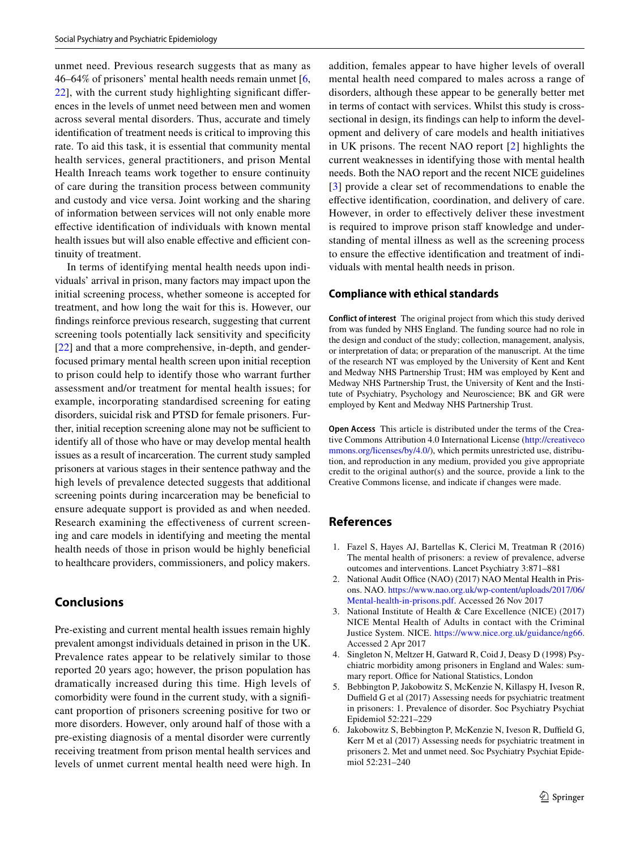<span id="page-9-1"></span><span id="page-9-0"></span>unmet need. Previous research suggests that as many as 46–64% of prisoners' mental health needs remain unmet [[6,](#page-8-5)  $22$ ], with the current study highlighting significant differences in the levels of unmet need between men and women across several mental disorders. Thus, accurate and timely identification of treatment needs is critical to improving this rate. To aid this task, it is essential that community mental health services, general practitioners, and prison Mental Health Inreach teams work together to ensure continuity of care during the transition process between community and custody and vice versa. Joint working and the sharing of information between services will not only enable more effective identification of individuals with known mental health issues but will also enable effective and efficient continuity of treatment.

<span id="page-9-6"></span><span id="page-9-5"></span><span id="page-9-4"></span><span id="page-9-3"></span><span id="page-9-2"></span>In terms of identifying mental health needs upon individuals' arrival in prison, many factors may impact upon the initial screening process, whether someone is accepted for treatment, and how long the wait for this is. However, our findings reinforce previous research, suggesting that current screening tools potentially lack sensitivity and specificity [\[22\]](#page-9-12) and that a more comprehensive, in-depth, and genderfocused primary mental health screen upon initial reception to prison could help to identify those who warrant further assessment and/or treatment for mental health issues; for example, incorporating standardised screening for eating disorders, suicidal risk and PTSD for female prisoners. Further, initial reception screening alone may not be sufficient to identify all of those who have or may develop mental health issues as a result of incarceration. The current study sampled prisoners at various stages in their sentence pathway and the high levels of prevalence detected suggests that additional screening points during incarceration may be beneficial to ensure adequate support is provided as and when needed. Research examining the efectiveness of current screening and care models in identifying and meeting the mental health needs of those in prison would be highly beneficial to healthcare providers, commissioners, and policy makers.

# <span id="page-9-10"></span><span id="page-9-9"></span><span id="page-9-8"></span><span id="page-9-7"></span>**Conclusions**

Pre-existing and current mental health issues remain highly prevalent amongst individuals detained in prison in the UK. Prevalence rates appear to be relatively similar to those reported 20 years ago; however, the prison population has dramatically increased during this time. High levels of comorbidity were found in the current study, with a significant proportion of prisoners screening positive for two or more disorders. However, only around half of those with a pre-existing diagnosis of a mental disorder were currently receiving treatment from prison mental health services and levels of unmet current mental health need were high. In

<span id="page-9-13"></span><span id="page-9-12"></span><span id="page-9-11"></span>addition, females appear to have higher levels of overall mental health need compared to males across a range of disorders, although these appear to be generally better met in terms of contact with services. Whilst this study is crosssectional in design, its findings can help to inform the development and delivery of care models and health initiatives in UK prisons. The recent NAO report [[2](#page-8-1)] highlights the current weaknesses in identifying those with mental health needs. Both the NAO report and the recent NICE guidelines [[3\]](#page-8-2) provide a clear set of recommendations to enable the efective identiication, coordination, and delivery of care. However, in order to efectively deliver these investment is required to improve prison staff knowledge and understanding of mental illness as well as the screening process to ensure the effective identification and treatment of individuals with mental health needs in prison.

### <span id="page-9-16"></span><span id="page-9-15"></span><span id="page-9-14"></span>**Compliance with ethical standards**

<span id="page-9-18"></span><span id="page-9-17"></span>**Conflict of interest** The original project from which this study derived from was funded by NHS England. The funding source had no role in the design and conduct of the study; collection, management, analysis, or interpretation of data; or preparation of the manuscript. At the time of the research NT was employed by the University of Kent and Kent and Medway NHS Partnership Trust; HM was employed by Kent and Medway NHS Partnership Trust, the University of Kent and the Institute of Psychiatry, Psychology and Neuroscience; BK and GR were employed by Kent and Medway NHS Partnership Trust.

<span id="page-9-21"></span><span id="page-9-20"></span><span id="page-9-19"></span>**Open Access** This article is distributed under the terms of the Creative Commons Attribution 4.0 International License (http://creativeco mmons.org/licenses/by/4.0/), which permits unrestricted use, distribution, and reproduction in any medium, provided you give appropriate credit to the original author(s) and the source, provide a link to the Creative Commons license, and indicate if changes were made.

# <span id="page-9-23"></span><span id="page-9-22"></span>**References**

- 1. Fazel S, Hayes AJ, Bartellas K, Clerici M, Treatman R (2016) The mental health of prisoners: a review of prevalence, adverse outcomes and interventions. Lancet Psychiatry 3:871–881
- 2. National Audit Office (NAO) (2017) NAO Mental Health in Prisons. NAO. https://www.nao.org.uk/wp-content/uploads/2017/06/ Mental-health-in-prisons.pdf. Accessed 26 Nov 2017
- 3. National Institute of Health & Care Excellence (NICE) (2017) NICE Mental Health of Adults in contact with the Criminal Justice System. NICE. https://www.nice.org.uk/guidance/ng66. Accessed 2 Apr 2017
- 4. Singleton N, Meltzer H, Gatward R, Coid J, Deasy D (1998) Psychiatric morbidity among prisoners in England and Wales: summary report. Office for National Statistics, London
- 5. Bebbington P, Jakobowitz S, McKenzie N, Killaspy H, Iveson R, Duffield G et al (2017) Assessing needs for psychiatric treatment in prisoners: 1. Prevalence of disorder. Soc Psychiatry Psychiat Epidemiol 52:221–229
- 6. Jakobowitz S, Bebbington P, McKenzie N, Iveson R, Duffield G, Kerr M et al (2017) Assessing needs for psychiatric treatment in prisoners 2. Met and unmet need. Soc Psychiatry Psychiat Epidemiol 52:231–240